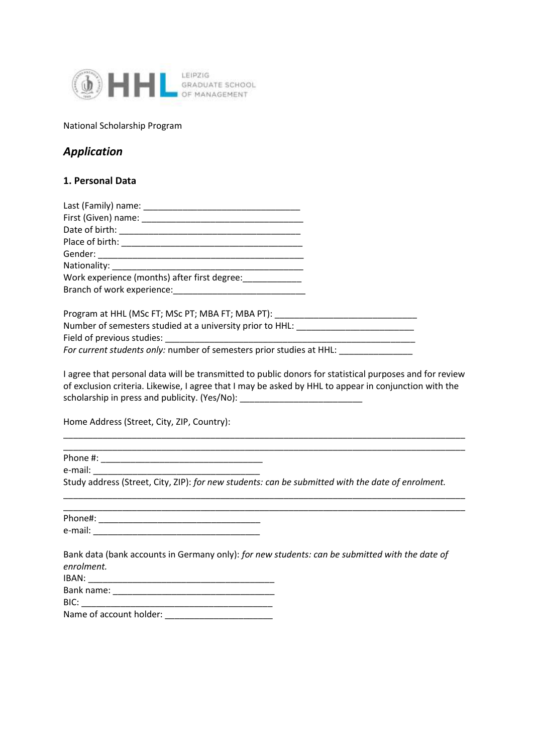

National Scholarship Program

## *Application*

## **1. Personal Data**

| Last (Family) name:                          |  |  |
|----------------------------------------------|--|--|
| First (Given) name:                          |  |  |
|                                              |  |  |
| Place of birth: National Place of birth:     |  |  |
|                                              |  |  |
| Nationality: Nationality:                    |  |  |
| Work experience (months) after first degree: |  |  |
| Branch of work experience:                   |  |  |

Program at HHL (MSc FT; MSc PT; MBA FT; MBA PT): \_\_\_\_\_\_\_\_\_\_\_\_\_\_\_\_\_\_\_\_\_\_\_\_\_\_\_\_\_\_\_ Number of semesters studied at a university prior to HHL: \_\_\_\_\_\_\_\_\_\_\_\_\_\_\_\_\_\_\_\_\_\_ Field of previous studies: *For current students only:* number of semesters prior studies at HHL:

I agree that personal data will be transmitted to public donors for statistical purposes and for review of exclusion criteria. Likewise, I agree that I may be asked by HHL to appear in conjunction with the scholarship in press and publicity. (Yes/No):

\_\_\_\_\_\_\_\_\_\_\_\_\_\_\_\_\_\_\_\_\_\_\_\_\_\_\_\_\_\_\_\_\_\_\_\_\_\_\_\_\_\_\_\_\_\_\_\_\_\_\_\_\_\_\_\_\_\_\_\_\_\_\_\_\_\_\_\_\_\_\_\_\_\_\_\_\_\_\_\_\_\_

Home Address (Street, City, ZIP, Country):

Phone #: \_\_\_\_\_\_\_\_\_\_\_\_\_\_\_\_\_\_\_\_\_\_\_\_\_\_\_\_\_\_\_\_\_

e-mail:  $\blacksquare$ 

Study address (Street, City, ZIP): *for new students: can be submitted with the date of enrolment.* 

\_\_\_\_\_\_\_\_\_\_\_\_\_\_\_\_\_\_\_\_\_\_\_\_\_\_\_\_\_\_\_\_\_\_\_\_\_\_\_\_\_\_\_\_\_\_\_\_\_\_\_\_\_\_\_\_\_\_\_\_\_\_\_\_\_\_\_\_\_\_\_\_\_\_\_\_\_\_\_\_\_\_

| Phone#: |  |
|---------|--|
| e-mail: |  |

Bank data (bank accounts in Germany only): *for new students: can be submitted with the date of enrolment.* 

 $\frac{1}{2}$  ,  $\frac{1}{2}$  ,  $\frac{1}{2}$  ,  $\frac{1}{2}$  ,  $\frac{1}{2}$  ,  $\frac{1}{2}$  ,  $\frac{1}{2}$  ,  $\frac{1}{2}$  ,  $\frac{1}{2}$  ,  $\frac{1}{2}$  ,  $\frac{1}{2}$  ,  $\frac{1}{2}$  ,  $\frac{1}{2}$  ,  $\frac{1}{2}$  ,  $\frac{1}{2}$  ,  $\frac{1}{2}$  ,  $\frac{1}{2}$  ,  $\frac{1}{2}$  ,  $\frac{1$ 

| ∙RAN∙ |  |
|-------|--|
|       |  |

Bank name: \_\_\_\_\_\_\_\_\_\_\_\_\_\_\_\_\_\_\_\_\_\_\_\_\_\_\_\_\_\_\_\_\_

BIC: \_\_\_\_\_\_\_\_\_\_\_\_\_\_\_\_\_\_\_\_\_\_\_\_\_\_\_\_\_\_\_\_\_\_\_\_\_\_\_

Name of account holder: \_\_\_\_\_\_\_\_\_\_\_\_\_\_\_\_\_\_\_\_\_\_